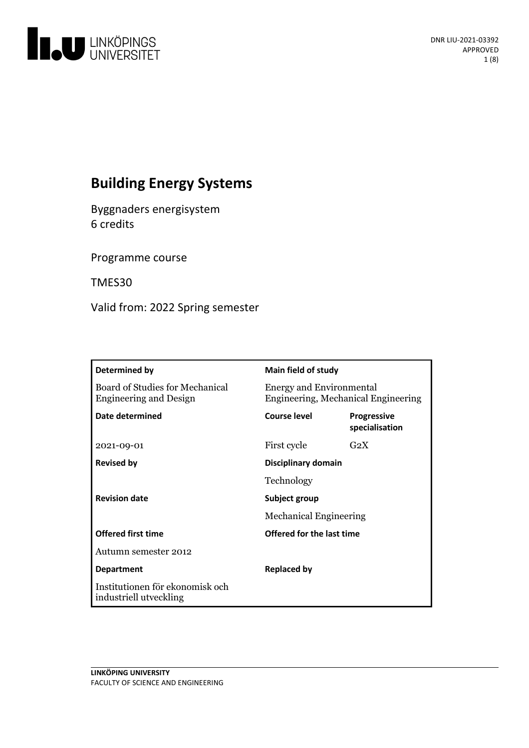

# **Building Energy Systems**

Byggnaders energisystem 6 credits

Programme course

TMES30

Valid from: 2022 Spring semester

| Determined by                                                    | <b>Main field of study</b>                                             |                                      |
|------------------------------------------------------------------|------------------------------------------------------------------------|--------------------------------------|
| Board of Studies for Mechanical<br><b>Engineering and Design</b> | <b>Energy and Environmental</b><br>Engineering, Mechanical Engineering |                                      |
| Date determined                                                  | <b>Course level</b>                                                    | <b>Progressive</b><br>specialisation |
| 2021-09-01                                                       | First cycle                                                            | G <sub>2</sub> X                     |
| <b>Revised by</b>                                                | Disciplinary domain                                                    |                                      |
|                                                                  | Technology                                                             |                                      |
| <b>Revision date</b>                                             | Subject group<br><b>Mechanical Engineering</b>                         |                                      |
|                                                                  |                                                                        |                                      |
| <b>Offered first time</b>                                        | Offered for the last time                                              |                                      |
| Autumn semester 2012                                             |                                                                        |                                      |
| <b>Department</b>                                                | <b>Replaced by</b>                                                     |                                      |
| Institutionen för ekonomisk och<br>industriell utveckling        |                                                                        |                                      |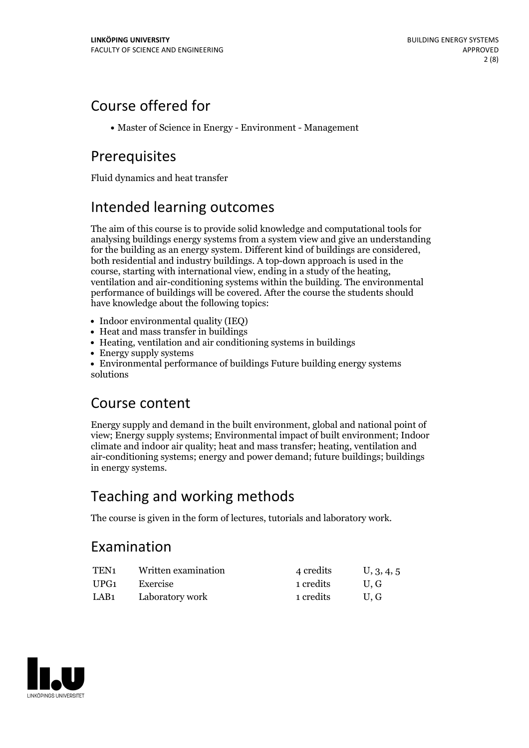## Course offered for

Master of Science in Energy - Environment - Management

# Prerequisites

Fluid dynamics and heat transfer

# Intended learning outcomes

The aim of this course is to provide solid knowledge and computational tools for analysing buildings energy systems from a system view and give an understanding for the building as an energy system. Different kind of buildings are considered, both residential and industry buildings. A top-down approach is used in the course, starting with international view, ending in <sup>a</sup> study of the heating, ventilation and air-conditioning systems within the building. The environmental performance of buildings will be covered. After the course the students should have knowledge about the following topics:

- Indoor environmental quality (IEQ)
- Heat and mass transfer in buildings
- Heating, ventilation and air conditioning systems in buildings
- Energy supply systems
- Environmental performance of buildings Future building energy systems solutions

## Course content

Energy supply and demand in the built environment, global and national point of view; Energy supply systems; Environmental impact of built environment; Indoor climate and indoor air quality; heat and mass transfer; heating, ventilation and air-conditioning systems; energy and power demand; future buildings; buildings in energy systems.

# Teaching and working methods

The course is given in the form of lectures, tutorials and laboratory work.

## Examination

| TEN1 | Written examination | 4 credits | U, 3, 4, 5 |
|------|---------------------|-----------|------------|
| UPG1 | Exercise            | 1 credits | U.G        |
| LAB1 | Laboratory work     | 1 credits | U.G        |

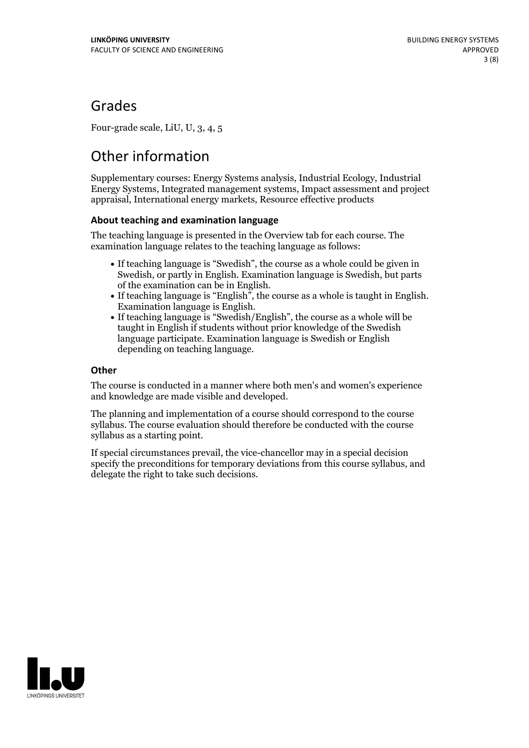## Grades

Four-grade scale, LiU, U, 3, 4, 5

# Other information

Supplementary courses: Energy Systems analysis, Industrial Ecology, Industrial Energy Systems, Integrated management systems, Impact assessment and project appraisal, International energy markets, Resource effective products

### **About teaching and examination language**

The teaching language is presented in the Overview tab for each course. The examination language relates to the teaching language as follows:

- If teaching language is "Swedish", the course as a whole could be given in Swedish, or partly in English. Examination language is Swedish, but parts
- of the examination can be in English. If teaching language is "English", the course as <sup>a</sup> whole is taught in English. Examination language is English. If teaching language is "Swedish/English", the course as <sup>a</sup> whole will be
- taught in English if students without prior knowledge of the Swedish language participate. Examination language is Swedish or English depending on teaching language.

### **Other**

The course is conducted in a manner where both men's and women's experience and knowledge are made visible and developed.

The planning and implementation of a course should correspond to the course syllabus. The course evaluation should therefore be conducted with the course syllabus as a starting point.

If special circumstances prevail, the vice-chancellor may in a special decision specify the preconditions for temporary deviations from this course syllabus, and delegate the right to take such decisions.

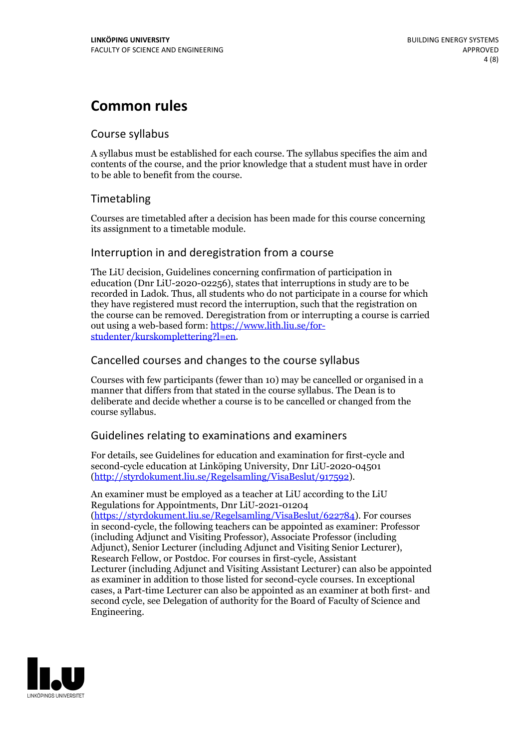## **Common rules**

### Course syllabus

A syllabus must be established for each course. The syllabus specifies the aim and contents of the course, and the prior knowledge that a student must have in order to be able to benefit from the course.

## Timetabling

Courses are timetabled after a decision has been made for this course concerning its assignment to a timetable module.

### Interruption in and deregistration from a course

The LiU decision, Guidelines concerning confirmation of participation in education (Dnr LiU-2020-02256), states that interruptions in study are to be recorded in Ladok. Thus, all students who do not participate in a course for which they have registered must record the interruption, such that the registration on the course can be removed. Deregistration from or interrupting a course is carried out using <sup>a</sup> web-based form: https://www.lith.liu.se/for- [studenter/kurskomplettering?l=en.](https://www.lith.liu.se/for-studenter/kurskomplettering?l=en)

## Cancelled courses and changes to the course syllabus

Courses with few participants (fewer than 10) may be cancelled or organised in a manner that differs from that stated in the course syllabus. The Dean is to deliberate and decide whether a course is to be cancelled or changed from the course syllabus.

## Guidelines relating to examinations and examiners

For details, see Guidelines for education and examination for first-cycle and second-cycle education at Linköping University, Dnr LiU-2020-04501 [\(http://styrdokument.liu.se/Regelsamling/VisaBeslut/917592\)](http://styrdokument.liu.se/Regelsamling/VisaBeslut/917592).

An examiner must be employed as a teacher at LiU according to the LiU Regulations for Appointments, Dnr LiU-2021-01204 [\(https://styrdokument.liu.se/Regelsamling/VisaBeslut/622784](https://styrdokument.liu.se/Regelsamling/VisaBeslut/622784)). For courses in second-cycle, the following teachers can be appointed as examiner: Professor (including Adjunct and Visiting Professor), Associate Professor (including Adjunct), Senior Lecturer (including Adjunct and Visiting Senior Lecturer), Research Fellow, or Postdoc. For courses in first-cycle, Assistant Lecturer (including Adjunct and Visiting Assistant Lecturer) can also be appointed as examiner in addition to those listed for second-cycle courses. In exceptional cases, a Part-time Lecturer can also be appointed as an examiner at both first- and second cycle, see Delegation of authority for the Board of Faculty of Science and Engineering.

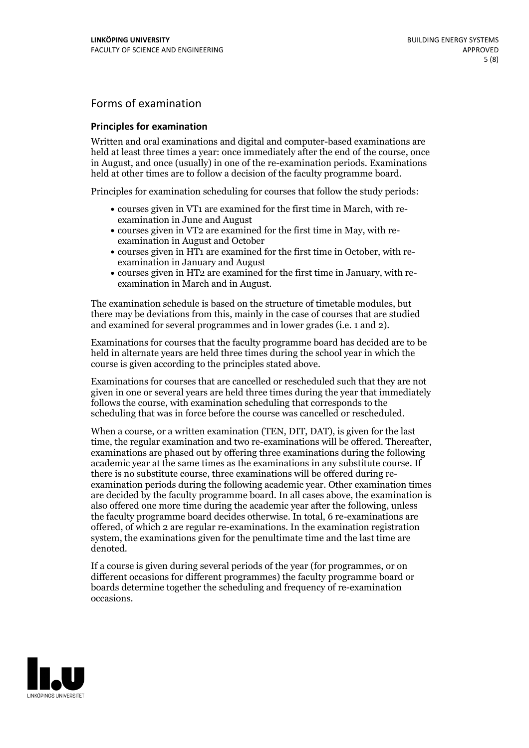## Forms of examination

#### **Principles for examination**

Written and oral examinations and digital and computer-based examinations are held at least three times a year: once immediately after the end of the course, once in August, and once (usually) in one of the re-examination periods. Examinations held at other times are to follow a decision of the faculty programme board.

Principles for examination scheduling for courses that follow the study periods:

- courses given in VT1 are examined for the first time in March, with re-examination in June and August
- courses given in VT2 are examined for the first time in May, with re-examination in August and October
- courses given in HT1 are examined for the first time in October, with re-examination in January and August
- courses given in HT2 are examined for the first time in January, with re-examination in March and in August.

The examination schedule is based on the structure of timetable modules, but there may be deviations from this, mainly in the case of courses that are studied and examined for several programmes and in lower grades (i.e. 1 and 2).

Examinations for courses that the faculty programme board has decided are to be held in alternate years are held three times during the school year in which the course is given according to the principles stated above.

Examinations for courses that are cancelled orrescheduled such that they are not given in one or several years are held three times during the year that immediately follows the course, with examination scheduling that corresponds to the scheduling that was in force before the course was cancelled or rescheduled.

When a course, or a written examination (TEN, DIT, DAT), is given for the last time, the regular examination and two re-examinations will be offered. Thereafter, examinations are phased out by offering three examinations during the following academic year at the same times as the examinations in any substitute course. If there is no substitute course, three examinations will be offered during re- examination periods during the following academic year. Other examination times are decided by the faculty programme board. In all cases above, the examination is also offered one more time during the academic year after the following, unless the faculty programme board decides otherwise. In total, 6 re-examinations are offered, of which 2 are regular re-examinations. In the examination registration system, the examinations given for the penultimate time and the last time are denoted.

If a course is given during several periods of the year (for programmes, or on different occasions for different programmes) the faculty programme board or boards determine together the scheduling and frequency of re-examination occasions.

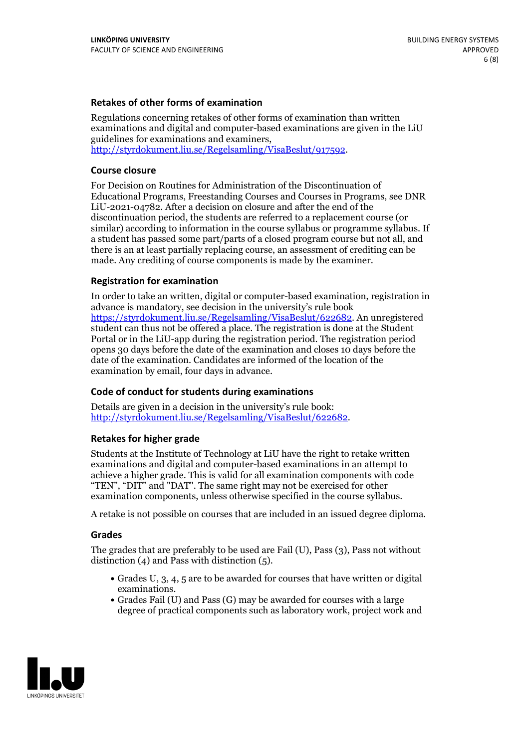### **Retakes of other forms of examination**

Regulations concerning retakes of other forms of examination than written examinations and digital and computer-based examinations are given in the LiU guidelines for examinations and examiners, [http://styrdokument.liu.se/Regelsamling/VisaBeslut/917592.](http://styrdokument.liu.se/Regelsamling/VisaBeslut/917592)

#### **Course closure**

For Decision on Routines for Administration of the Discontinuation of Educational Programs, Freestanding Courses and Courses in Programs, see DNR LiU-2021-04782. After a decision on closure and after the end of the discontinuation period, the students are referred to a replacement course (or similar) according to information in the course syllabus or programme syllabus. If a student has passed some part/parts of a closed program course but not all, and there is an at least partially replacing course, an assessment of crediting can be made. Any crediting of course components is made by the examiner.

#### **Registration for examination**

In order to take an written, digital or computer-based examination, registration in advance is mandatory, see decision in the university's rule book [https://styrdokument.liu.se/Regelsamling/VisaBeslut/622682.](https://styrdokument.liu.se/Regelsamling/VisaBeslut/622682) An unregistered student can thus not be offered a place. The registration is done at the Student Portal or in the LiU-app during the registration period. The registration period opens 30 days before the date of the examination and closes 10 days before the date of the examination. Candidates are informed of the location of the examination by email, four days in advance.

#### **Code of conduct for students during examinations**

Details are given in a decision in the university's rule book: <http://styrdokument.liu.se/Regelsamling/VisaBeslut/622682>.

#### **Retakes for higher grade**

Students at the Institute of Technology at LiU have the right to retake written examinations and digital and computer-based examinations in an attempt to achieve a higher grade. This is valid for all examination components with code "TEN", "DIT" and "DAT". The same right may not be exercised for other examination components, unless otherwise specified in the course syllabus.

A retake is not possible on courses that are included in an issued degree diploma.

#### **Grades**

The grades that are preferably to be used are Fail (U), Pass (3), Pass not without distinction  $(4)$  and Pass with distinction  $(5)$ .

- Grades U, 3, 4, 5 are to be awarded for courses that have written or digital examinations.<br>• Grades Fail (U) and Pass (G) may be awarded for courses with a large
- degree of practical components such as laboratory work, project work and

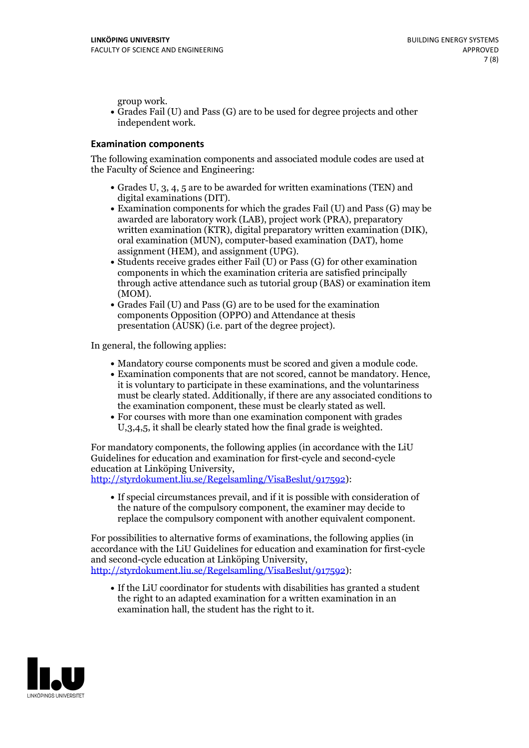group work.<br>• Grades Fail (U) and Pass (G) are to be used for degree projects and other independent work.

#### **Examination components**

The following examination components and associated module codes are used at the Faculty of Science and Engineering:

- Grades U, 3, 4, 5 are to be awarded for written examinations (TEN) and
- digital examinations (DIT).<br>• Examination components for which the grades Fail (U) and Pass (G) may be awarded are laboratory work (LAB), project work (PRA), preparatory written examination (KTR), digital preparatory written examination (DIK), oral examination (MUN), computer-based examination (DAT), home
- assignment (HEM), and assignment (UPG).<br>• Students receive grades either Fail (U) or Pass (G) for other examination components in which the examination criteria are satisfied principally through active attendance such as tutorial group (BAS) or examination item
- (MOM).<br>• Grades Fail (U) and Pass (G) are to be used for the examination components Opposition (OPPO) and Attendance at thesis presentation (AUSK) (i.e. part of the degree project).

In general, the following applies:

- 
- Mandatory course components must be scored and given <sup>a</sup> module code. Examination components that are not scored, cannot be mandatory. Hence, it is voluntary to participate in these examinations, and the voluntariness must be clearly stated. Additionally, if there are any associated conditions to
- the examination component, these must be clearly stated as well.<br>• For courses with more than one examination component with grades U,3,4,5, it shall be clearly stated how the final grade is weighted.

For mandatory components, the following applies (in accordance with the LiU Guidelines for education and examination for first-cycle and second-cycle education at Linköping University,<br>[http://styrdokument.liu.se/Regelsamling/VisaBeslut/917592\)](http://styrdokument.liu.se/Regelsamling/VisaBeslut/917592):

If special circumstances prevail, and if it is possible with consideration of the nature of the compulsory component, the examiner may decide to replace the compulsory component with another equivalent component.

For possibilities to alternative forms of examinations, the following applies (in accordance with the LiU Guidelines for education and examination for first-cycle [http://styrdokument.liu.se/Regelsamling/VisaBeslut/917592\)](http://styrdokument.liu.se/Regelsamling/VisaBeslut/917592):

If the LiU coordinator for students with disabilities has granted a student the right to an adapted examination for a written examination in an examination hall, the student has the right to it.